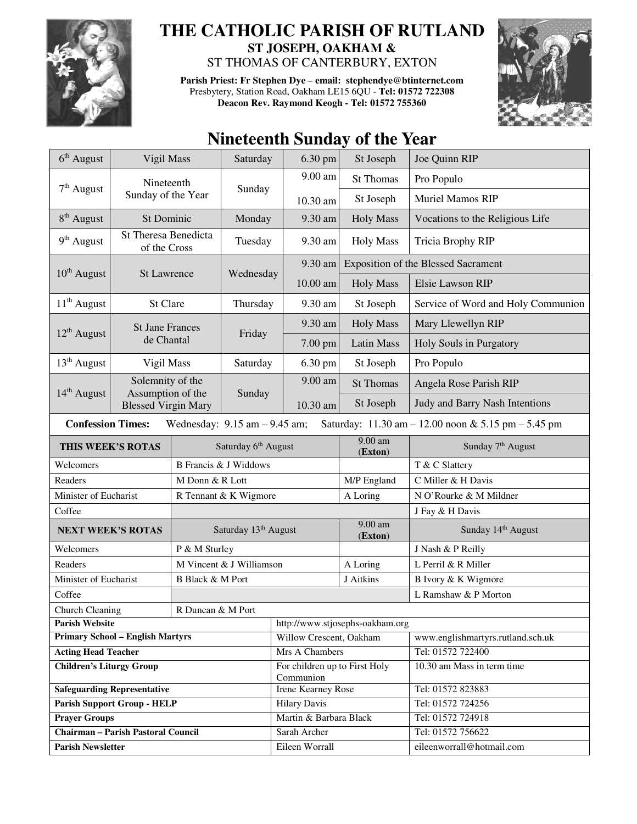

## **THE CATHOLIC PARISH OF RUTLAND ST JOSEPH, OAKHAM &**

ST THOMAS OF CANTERBURY, EXTON

**Parish Priest: Fr Stephen Dye** – **email: stephendye@btinternet.com** Presbytery, Station Road, Oakham LE15 6QU - **Tel: 01572 722308 Deacon Rev. Raymond Keogh - Tel: 01572 755360** 



## **Nineteenth Sunday of the Year**

| $6th$ August                                                                                                         | Vigil Mass                                      |                                  | Saturday            | 6.30 pm                                    | St Joseph            | Joe Quinn RIP                              |  |  |  |
|----------------------------------------------------------------------------------------------------------------------|-------------------------------------------------|----------------------------------|---------------------|--------------------------------------------|----------------------|--------------------------------------------|--|--|--|
|                                                                                                                      | Nineteenth<br>Sunday of the Year                |                                  |                     | 9.00 am                                    | <b>St Thomas</b>     | Pro Populo                                 |  |  |  |
| $7th$ August                                                                                                         |                                                 |                                  | Sunday              | 10.30 am                                   | St Joseph            | Muriel Mamos RIP                           |  |  |  |
| $8th$ August                                                                                                         | St Dominic                                      |                                  | Monday              | 9.30 am                                    | <b>Holy Mass</b>     | Vocations to the Religious Life            |  |  |  |
| $9th$ August                                                                                                         | <b>St Theresa Benedicta</b><br>of the Cross     |                                  | Tuesday             | 9.30 am                                    | <b>Holy Mass</b>     | Tricia Brophy RIP                          |  |  |  |
|                                                                                                                      |                                                 |                                  | Wednesday           | 9.30 am                                    |                      | <b>Exposition of the Blessed Sacrament</b> |  |  |  |
| 10 <sup>th</sup> August                                                                                              |                                                 | <b>St Lawrence</b>               |                     | 10.00 am                                   | <b>Holy Mass</b>     | Elsie Lawson RIP                           |  |  |  |
| $11th$ August                                                                                                        | St Clare                                        |                                  | Thursday            | 9.30 am                                    | St Joseph            | Service of Word and Holy Communion         |  |  |  |
|                                                                                                                      | <b>St Jane Frances</b><br>de Chantal            |                                  |                     | 9.30 am                                    | <b>Holy Mass</b>     | Mary Llewellyn RIP                         |  |  |  |
| $12^{th}$ August                                                                                                     |                                                 |                                  | Friday              | 7.00 pm                                    | <b>Latin Mass</b>    | Holy Souls in Purgatory                    |  |  |  |
| $13th$ August                                                                                                        | Vigil Mass                                      |                                  | Saturday            | 6.30 pm                                    | St Joseph            | Pro Populo                                 |  |  |  |
|                                                                                                                      | Solemnity of the                                |                                  |                     | 9.00 am                                    | <b>St Thomas</b>     | Angela Rose Parish RIP                     |  |  |  |
| $14th$ August                                                                                                        | Assumption of the<br><b>Blessed Virgin Mary</b> |                                  | Sunday              | 10.30 am                                   | St Joseph            | Judy and Barry Nash Intentions             |  |  |  |
| <b>Confession Times:</b><br>Wednesday: $9.15$ am $- 9.45$ am;<br>Saturday: 11.30 am - 12.00 noon & 5.15 pm - 5.45 pm |                                                 |                                  |                     |                                            |                      |                                            |  |  |  |
| THIS WEEK'S ROTAS                                                                                                    |                                                 |                                  | Saturday 6th August |                                            | $9.00$ am<br>(Exton) | Sunday 7 <sup>th</sup> August              |  |  |  |
| Welcomers                                                                                                            |                                                 | B Francis & J Widdows            |                     |                                            |                      | T & C Slattery                             |  |  |  |
| Readers                                                                                                              |                                                 | M Donn & R Lott                  |                     |                                            | M/P England          | C Miller & H Davis                         |  |  |  |
| Minister of Eucharist                                                                                                |                                                 | R Tennant & K Wigmore            |                     |                                            | A Loring             | N O'Rourke & M Mildner                     |  |  |  |
| Coffee                                                                                                               |                                                 |                                  |                     |                                            |                      | J Fay & H Davis                            |  |  |  |
| <b>NEXT WEEK'S ROTAS</b>                                                                                             |                                                 | Saturday 13 <sup>th</sup> August |                     |                                            | 9.00 am<br>(Exton)   | Sunday 14 <sup>th</sup> August             |  |  |  |
| Welcomers                                                                                                            |                                                 | P & M Sturley                    |                     |                                            |                      | J Nash & P Reilly                          |  |  |  |
| Readers                                                                                                              |                                                 | M Vincent & J Williamson         |                     |                                            | A Loring             | L Perril & R Miller                        |  |  |  |
| Minister of Eucharist                                                                                                |                                                 | <b>B</b> Black & M Port          |                     |                                            | J Aitkins            | B Ivory & K Wigmore                        |  |  |  |
| Coffee                                                                                                               |                                                 |                                  |                     |                                            |                      | L Ramshaw & P Morton                       |  |  |  |
| <b>Church Cleaning</b>                                                                                               |                                                 | R Duncan & M Port                |                     |                                            |                      |                                            |  |  |  |
| <b>Parish Website</b>                                                                                                |                                                 |                                  |                     | http://www.stjosephs-oakham.org            |                      |                                            |  |  |  |
| <b>Primary School - English Martyrs</b>                                                                              |                                                 |                                  |                     | Willow Crescent, Oakham                    |                      | www.englishmartyrs.rutland.sch.uk          |  |  |  |
| <b>Acting Head Teacher</b>                                                                                           |                                                 |                                  |                     | Mrs A Chambers                             |                      | Tel: 01572 722400                          |  |  |  |
| <b>Children's Liturgy Group</b>                                                                                      |                                                 |                                  |                     | For children up to First Holy<br>Communion |                      | 10.30 am Mass in term time                 |  |  |  |
| <b>Safeguarding Representative</b>                                                                                   |                                                 |                                  |                     | Irene Kearney Rose                         |                      | Tel: 01572 823883                          |  |  |  |
| <b>Parish Support Group - HELP</b>                                                                                   |                                                 |                                  |                     | <b>Hilary Davis</b>                        |                      | Tel: 01572 724256                          |  |  |  |
| <b>Prayer Groups</b>                                                                                                 |                                                 |                                  |                     | Martin & Barbara Black                     |                      | Tel: 01572 724918                          |  |  |  |
|                                                                                                                      | <b>Chairman - Parish Pastoral Council</b>       |                                  |                     | Sarah Archer                               |                      | Tel: 01572 756622                          |  |  |  |
| <b>Parish Newsletter</b>                                                                                             |                                                 |                                  |                     | Eileen Worrall                             |                      | eileenworrall@hotmail.com                  |  |  |  |